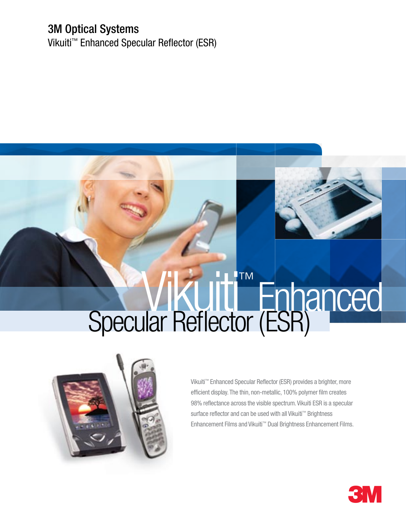#### 3M Optical Systems

Vikuiti™ Enhanced Specular Reflector (ESR)

# Vikuiti™ Enhanced Specular Reflector (ESR)



Vikuiti™ Enhanced Specular Reflector (ESR) provides a brighter, more efficient display. The thin, non-metallic, 100% polymer film creates 98% reflectance across the visible spectrum. Vikuiti ESR is a specular surface reflector and can be used with all Vikuiti™ Brightness Enhancement Films and Vikuiti™ Dual Brightness Enhancement Films.